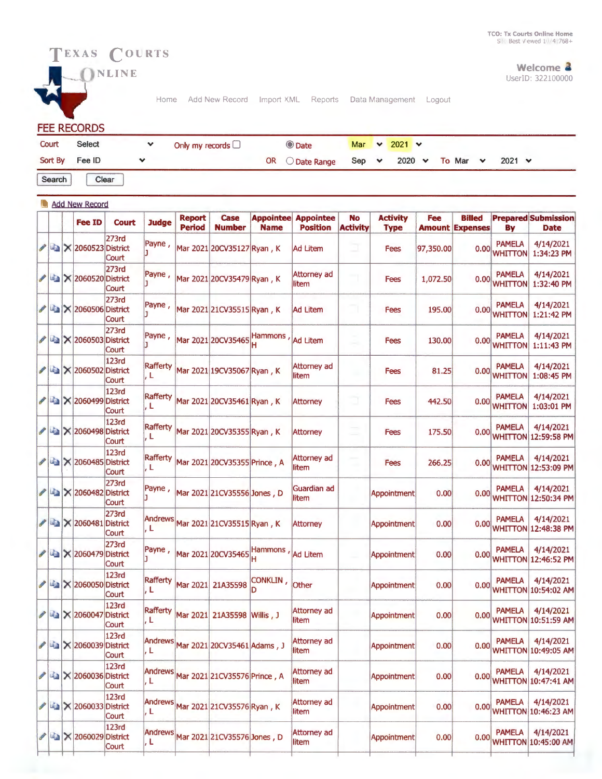



Home Add New Record Import XML Reports Data Management Logout

**FEE RECORDS** 

| Court          | Select | Only my records $\Box$ | <b>O</b> Date            |            | Mar $\sim$ 2021 $\sim$ |               |             |  |
|----------------|--------|------------------------|--------------------------|------------|------------------------|---------------|-------------|--|
| Sort By Fee ID |        |                        | OR $\bigcirc$ Date Range | Sep $\vee$ | 2020 $\sim$            | To Mar $\vee$ | 2021 $\vee$ |  |

Search Clear

|                                                                                                                                                                                                                                                                                                                                                     |   | <b>Add New Record</b>                                          |                       |                            |                                |                                      |                    |                                               |                              |                                |           |                                         |                                 |                                              |
|-----------------------------------------------------------------------------------------------------------------------------------------------------------------------------------------------------------------------------------------------------------------------------------------------------------------------------------------------------|---|----------------------------------------------------------------|-----------------------|----------------------------|--------------------------------|--------------------------------------|--------------------|-----------------------------------------------|------------------------------|--------------------------------|-----------|-----------------------------------------|---------------------------------|----------------------------------------------|
|                                                                                                                                                                                                                                                                                                                                                     |   | <b>Fee ID</b>                                                  | <b>Court</b>          | <b>Judge</b>               | <b>Report</b><br><b>Period</b> | <b>Case</b><br><b>Number</b>         | <b>Name</b>        | <b>Appointee Appointee</b><br><b>Position</b> | <b>No</b><br><b>Activity</b> | <b>Activity</b><br><b>Type</b> | Fee       | <b>Billed</b><br><b>Amount Expenses</b> | By                              | <b>Prepared Submission</b><br><b>Date</b>    |
|                                                                                                                                                                                                                                                                                                                                                     |   | $\blacktriangleright$ $\blacksquare$ $\times$ 2060523 District | 273rd<br>Court        | Payne,                     |                                | Mar 2021 20CV35127 Ryan, K           |                    | <b>Ad Litem</b>                               | E                            | Fees                           | 97,350.00 | 0.00                                    | <b>PAMELA</b><br><b>WHITTON</b> | 4/14/2021<br>1:34:23 PM                      |
| I                                                                                                                                                                                                                                                                                                                                                   | 自 | $X$ 2060520 District                                           | 273rd<br>Court        | Payne,                     |                                | Mar 2021 20CV35479 Ryan, K           |                    | Attorney ad<br>litem                          | m,                           | <b>Fees</b>                    | 1,072.50  | 0.00                                    | <b>PAMELA</b><br><b>WHITTON</b> | 4/14/2021<br>1:32:40 PM                      |
| Í                                                                                                                                                                                                                                                                                                                                                   |   | X 2060506 District                                             | 273rd<br>Court        | Payne,                     |                                | Mar 2021 21CV35515 Ryan, K           |                    | <b>Ad Litem</b>                               | T                            | Fees                           | 195.00    | 0.00                                    | <b>PAMELA</b><br><b>WHITTON</b> | 4/14/2021<br>1:21:42 PM                      |
| $\begin{picture}(20,20) \put(0,0){\line(1,0){10}} \put(15,0){\line(1,0){10}} \put(15,0){\line(1,0){10}} \put(15,0){\line(1,0){10}} \put(15,0){\line(1,0){10}} \put(15,0){\line(1,0){10}} \put(15,0){\line(1,0){10}} \put(15,0){\line(1,0){10}} \put(15,0){\line(1,0){10}} \put(15,0){\line(1,0){10}} \put(15,0){\line(1,0){10}} \put(15,0){\line(1$ |   | <b>Ea</b>   $\times$   2060503 District                        | 273rd<br>Court        | Payne,                     |                                | Mar 2021 20CV35465 Hammons, Ad Litem |                    |                                               | ÷                            | Fees                           | 130.00    | 0.00                                    | <b>PAMELA</b><br><b>WHITTON</b> | 4/14/2021<br>1:11:43 PM                      |
|                                                                                                                                                                                                                                                                                                                                                     |   | <b>/ 4 × 2060502 District</b>                                  | <b>123rd</b><br>Court | Rafferty<br>. L            |                                | Mar 2021 19CV35067 Ryan, K           |                    | Attorney ad<br>litem                          | M)                           | <b>Fees</b>                    | 81.25     | 0.00                                    | <b>PAMELA</b><br><b>WHITTON</b> | 4/14/2021<br>1:08:45 PM                      |
|                                                                                                                                                                                                                                                                                                                                                     |   | <b>/ 4 × 2060499 District</b>                                  | 123rd<br>Court        | Rafferty<br>. L            |                                | Mar 2021 20CV35461 Ryan, K           |                    | <b>Attorney</b>                               | ā                            | <b>Fees</b>                    | 442.50    |                                         | <b>PAMELA</b><br>0.00 WHITTON   | 4/14/2021<br>1:03:01 PM                      |
| I                                                                                                                                                                                                                                                                                                                                                   |   | La X 2060498 District                                          | <b>123rd</b><br>Court | Rafferty<br>, $\mathsf{L}$ |                                | Mar 2021 20CV35355 Ryan, K           |                    | Attorney                                      |                              | Fees                           | 175.50    | 0.00                                    | <b>PAMELA</b>                   | 4/14/2021<br><b>WHITTON 12:59:58 PM</b>      |
|                                                                                                                                                                                                                                                                                                                                                     |   | <b>/ 43 × 2060485 District</b>                                 | <b>123rd</b><br>Court | <b>Rafferty</b><br>, L     |                                | Mar 2021 20CV35355 Prince, A         |                    | Attorney ad<br>litem                          |                              | Fees                           | 266.25    | 0.00                                    | <b>PAMELA</b>                   | 4/14/2021<br><b>WHITTON 12:53:09 PM</b>      |
| I                                                                                                                                                                                                                                                                                                                                                   |   | LA X 2060482 District                                          | 273rd<br>Court        | Payne,                     |                                | Mar 2021 21CV35556 Jones, D          |                    | Guardian ad<br>litem                          |                              | Appointment                    | 0.00      | 0.00                                    | <b>PAMELA</b>                   | 4/14/2021<br><b>WHITTON 12:50:34 PM</b>      |
|                                                                                                                                                                                                                                                                                                                                                     |   | <b>A 2060481</b> District                                      | 273rd<br>Court        | , L                        |                                | Andrews Mar 2021 21CV35515 Ryan, K   |                    | <b>Attorney</b>                               |                              | Appointment                    | 0.00      | 0.00                                    | <b>PAMELA</b>                   | 4/14/2021<br>WHITTON 12:48:38 PM             |
|                                                                                                                                                                                                                                                                                                                                                     |   | La X 2060479 District                                          | 273rd<br>Court        | Payne,                     |                                | Mar 2021 20CV35465                   | Hammons , Ad Litem |                                               |                              | Appointment                    | 0.00      | 0.00                                    | <b>PAMELA</b>                   | 4/14/2021<br><b>WHITTON 12:46:52 PM</b>      |
|                                                                                                                                                                                                                                                                                                                                                     |   | <b>△■ × 2060050 District</b>                                   | <b>123rd</b><br>Court | Rafferty<br>. L            |                                | Mar 2021 21A35598                    | CONKLIN, Other     |                                               |                              | Appointment                    | 0.00      | 0.00                                    | <b>PAMELA</b>                   | 4/14/2021<br>WHITTON 10:54:02 AM             |
| P                                                                                                                                                                                                                                                                                                                                                   |   | <b>■■ × 2060047 District</b>                                   | 123rd<br>Court        | Rafferty<br>L              | <b>Mar 2021</b>                | 21A35598                             | Willis, J          | <b>Attorney ad</b><br>litem                   |                              | Appointment                    | 0.00      | 0.00                                    | <b>PAMELA</b>                   | 4/14/2021<br>WHITTON 10:51:59 AM             |
|                                                                                                                                                                                                                                                                                                                                                     |   | <b>/ 4 × 2060039 District</b>                                  | 123rd<br>Court        | Andrews<br>, L             |                                | Mar 2021 20CV35461 Adams, J          |                    | <b>Attorney ad</b><br>litem                   |                              | Appointment                    | 0.00      |                                         |                                 | PAMELA 4/14/2021<br>0.00 WHITTON 10:49:05 AM |
| <b>A</b>                                                                                                                                                                                                                                                                                                                                            |   | $\left \frac{1}{2}\right $ $\times$ 2060036 District           | 123rd<br>Court        | , L                        |                                | Andrews Mar 2021 21CV35576 Prince, A |                    | <b>Attorney ad</b><br>litem                   |                              | Appointment                    | 0.00      |                                         | <b>PAMELA</b>                   | 4/14/2021<br>0.00 WHITTON 10:47:41 AM        |
|                                                                                                                                                                                                                                                                                                                                                     |   | ✔ 4 × 2060033 District                                         | 123rd<br>Court        | , L                        |                                | Andrews Mar 2021 21CV35576 Ryan, K   |                    | <b>Attorney ad</b><br>litem                   |                              | Appointment                    | 0.00      |                                         | <b>PAMELA</b>                   | 4/14/2021<br>0.00 WHITTON 10:46:23 AM        |
|                                                                                                                                                                                                                                                                                                                                                     |   | <b>A 4</b> × 2060029 District                                  | 123rd<br>Court        | , L                        |                                | Andrews Mar 2021 21CV35576 Jones, D  |                    | Attorney ad<br>litem                          |                              | <b>Appointment</b>             | 0.00      |                                         | <b>PAMELA</b>                   | 4/14/2021<br>0.00 WHITTON 10:45:00 AM        |
|                                                                                                                                                                                                                                                                                                                                                     |   |                                                                |                       |                            |                                |                                      |                    |                                               |                              |                                |           |                                         |                                 |                                              |